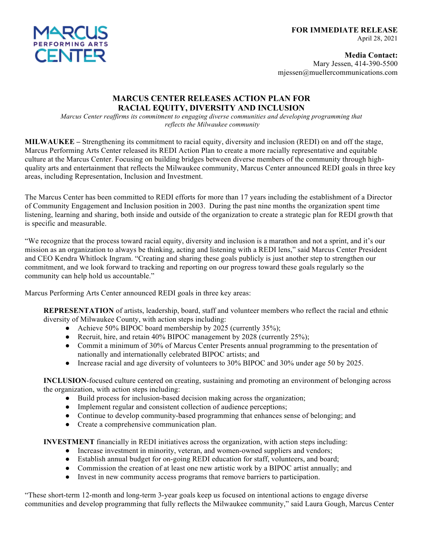

**Media Contact:** Mary Jessen, 414-390-5500 mjessen@muellercommunications.com

## **MARCUS CENTER RELEASES ACTION PLAN FOR RACIAL EQUITY, DIVERSITY AND INCLUSION**

*Marcus Center reaffirms its commitment to engaging diverse communities and developing programming that reflects the Milwaukee community*

**MILWAUKEE –** Strengthening its commitment to racial equity, diversity and inclusion (REDI) on and off the stage, Marcus Performing Arts Center released its REDI Action Plan to create a more racially representative and equitable culture at the Marcus Center. Focusing on building bridges between diverse members of the community through highquality arts and entertainment that reflects the Milwaukee community, Marcus Center announced REDI goals in three key areas, including Representation, Inclusion and Investment.

The Marcus Center has been committed to REDI efforts for more than 17 years including the establishment of a Director of Community Engagement and Inclusion position in 2003. During the past nine months the organization spent time listening, learning and sharing, both inside and outside of the organization to create a strategic plan for REDI growth that is specific and measurable.

"We recognize that the process toward racial equity, diversity and inclusion is a marathon and not a sprint, and it's our mission as an organization to always be thinking, acting and listening with a REDI lens," said Marcus Center President and CEO Kendra Whitlock Ingram. "Creating and sharing these goals publicly is just another step to strengthen our commitment, and we look forward to tracking and reporting on our progress toward these goals regularly so the community can help hold us accountable."

Marcus Performing Arts Center announced REDI goals in three key areas:

**REPRESENTATION** of artists, leadership, board, staff and volunteer members who reflect the racial and ethnic diversity of Milwaukee County, with action steps including:

- Achieve 50% BIPOC board membership by 2025 (currently 35%);
- Recruit, hire, and retain 40% BIPOC management by 2028 (currently 25%);
- Commit a minimum of 30% of Marcus Center Presents annual programming to the presentation of nationally and internationally celebrated BIPOC artists; and
- Increase racial and age diversity of volunteers to 30% BIPOC and 30% under age 50 by 2025.

**INCLUSION**-focused culture centered on creating, sustaining and promoting an environment of belonging across the organization, with action steps including:

- Build process for inclusion-based decision making across the organization;
- Implement regular and consistent collection of audience perceptions;
- Continue to develop community-based programming that enhances sense of belonging; and
- Create a comprehensive communication plan.

**INVESTMENT** financially in REDI initiatives across the organization, with action steps including:

- Increase investment in minority, veteran, and women-owned suppliers and vendors;
- Establish annual budget for on-going REDI education for staff, volunteers, and board;
- Commission the creation of at least one new artistic work by a BIPOC artist annually; and
- Invest in new community access programs that remove barriers to participation.

"These short-term 12-month and long-term 3-year goals keep us focused on intentional actions to engage diverse communities and develop programming that fully reflects the Milwaukee community," said Laura Gough, Marcus Center